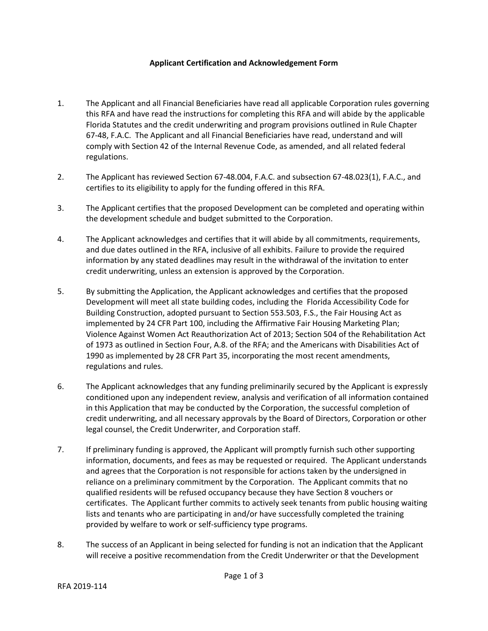## **Applicant Certification and Acknowledgement Form**

- 1. The Applicant and all Financial Beneficiaries have read all applicable Corporation rules governing this RFA and have read the instructions for completing this RFA and will abide by the applicable Florida Statutes and the credit underwriting and program provisions outlined in Rule Chapter 67-48, F.A.C. The Applicant and all Financial Beneficiaries have read, understand and will comply with Section 42 of the Internal Revenue Code, as amended, and all related federal regulations.
- 2. The Applicant has reviewed Section 67-48.004, F.A.C. and subsection 67-48.023(1), F.A.C., and certifies to its eligibility to apply for the funding offered in this RFA.
- 3. The Applicant certifies that the proposed Development can be completed and operating within the development schedule and budget submitted to the Corporation.
- 4. The Applicant acknowledges and certifies that it will abide by all commitments, requirements, and due dates outlined in the RFA, inclusive of all exhibits. Failure to provide the required information by any stated deadlines may result in the withdrawal of the invitation to enter credit underwriting, unless an extension is approved by the Corporation.
- 5. By submitting the Application, the Applicant acknowledges and certifies that the proposed Development will meet all state building codes, including the Florida Accessibility Code for Building Construction, adopted pursuant to Section 553.503, F.S., the Fair Housing Act as implemented by 24 CFR Part 100, including the Affirmative Fair Housing Marketing Plan; Violence Against Women Act Reauthorization Act of 2013; Section 504 of the Rehabilitation Act of 1973 as outlined in Section Four, A.8. of the RFA; and the Americans with Disabilities Act of 1990 as implemented by 28 CFR Part 35, incorporating the most recent amendments, regulations and rules.
- 6. The Applicant acknowledges that any funding preliminarily secured by the Applicant is expressly conditioned upon any independent review, analysis and verification of all information contained in this Application that may be conducted by the Corporation, the successful completion of credit underwriting, and all necessary approvals by the Board of Directors, Corporation or other legal counsel, the Credit Underwriter, and Corporation staff.
- 7. If preliminary funding is approved, the Applicant will promptly furnish such other supporting information, documents, and fees as may be requested or required. The Applicant understands and agrees that the Corporation is not responsible for actions taken by the undersigned in reliance on a preliminary commitment by the Corporation. The Applicant commits that no qualified residents will be refused occupancy because they have Section 8 vouchers or certificates. The Applicant further commits to actively seek tenants from public housing waiting lists and tenants who are participating in and/or have successfully completed the training provided by welfare to work or self-sufficiency type programs.
- 8. The success of an Applicant in being selected for funding is not an indication that the Applicant will receive a positive recommendation from the Credit Underwriter or that the Development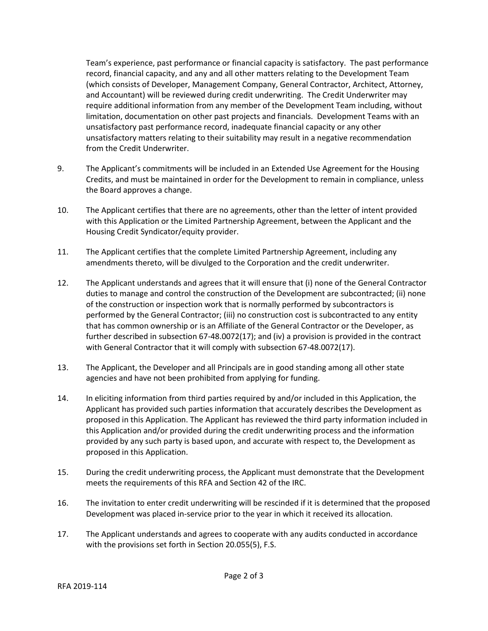Team's experience, past performance or financial capacity is satisfactory. The past performance record, financial capacity, and any and all other matters relating to the Development Team (which consists of Developer, Management Company, General Contractor, Architect, Attorney, and Accountant) will be reviewed during credit underwriting. The Credit Underwriter may require additional information from any member of the Development Team including, without limitation, documentation on other past projects and financials. Development Teams with an unsatisfactory past performance record, inadequate financial capacity or any other unsatisfactory matters relating to their suitability may result in a negative recommendation from the Credit Underwriter.

- 9. The Applicant's commitments will be included in an Extended Use Agreement for the Housing Credits, and must be maintained in order for the Development to remain in compliance, unless the Board approves a change.
- 10. The Applicant certifies that there are no agreements, other than the letter of intent provided with this Application or the Limited Partnership Agreement, between the Applicant and the Housing Credit Syndicator/equity provider.
- 11. The Applicant certifies that the complete Limited Partnership Agreement, including any amendments thereto, will be divulged to the Corporation and the credit underwriter.
- 12. The Applicant understands and agrees that it will ensure that (i) none of the General Contractor duties to manage and control the construction of the Development are subcontracted; (ii) none of the construction or inspection work that is normally performed by subcontractors is performed by the General Contractor; (iii) no construction cost is subcontracted to any entity that has common ownership or is an Affiliate of the General Contractor or the Developer, as further described in subsection 67-48.0072(17); and (iv) a provision is provided in the contract with General Contractor that it will comply with subsection 67-48.0072(17).
- 13. The Applicant, the Developer and all Principals are in good standing among all other state agencies and have not been prohibited from applying for funding.
- 14. In eliciting information from third parties required by and/or included in this Application, the Applicant has provided such parties information that accurately describes the Development as proposed in this Application. The Applicant has reviewed the third party information included in this Application and/or provided during the credit underwriting process and the information provided by any such party is based upon, and accurate with respect to, the Development as proposed in this Application.
- 15. During the credit underwriting process, the Applicant must demonstrate that the Development meets the requirements of this RFA and Section 42 of the IRC.
- 16. The invitation to enter credit underwriting will be rescinded if it is determined that the proposed Development was placed in-service prior to the year in which it received its allocation.
- 17. The Applicant understands and agrees to cooperate with any audits conducted in accordance with the provisions set forth in Section 20.055(5), F.S.